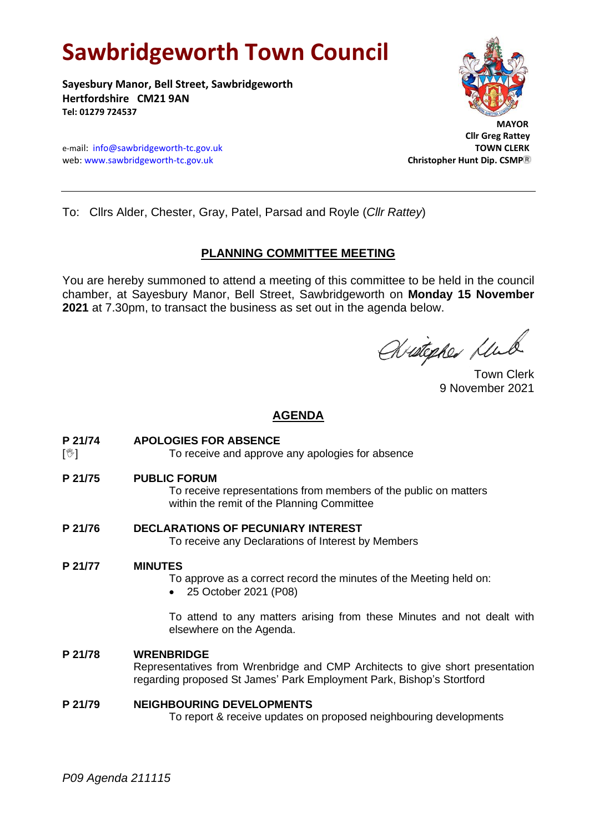# **Sawbridgeworth Town Council**

**Sayesbury Manor, Bell Street, Sawbridgeworth Hertfordshire CM21 9AN Tel: 01279 724537**





 **Cllr Greg Rattey**

To: Cllrs Alder, Chester, Gray, Patel, Parsad and Royle (*Cllr Rattey*)

# **PLANNING COMMITTEE MEETING**

You are hereby summoned to attend a meeting of this committee to be held in the council chamber, at Sayesbury Manor, Bell Street, Sawbridgeworth on **Monday 15 November 2021** at 7.30pm, to transact the business as set out in the agenda below.

Aritopher Mul

Town Clerk 9 November 2021

# **AGENDA**

- **P 21/74 APOLOGIES FOR ABSENCE**
- [ $\sqrt[6]{ }$ ] To receive and approve any apologies for absence
- **P 21/75 PUBLIC FORUM**

To receive representations from members of the public on matters within the remit of the Planning Committee

**P 21/76 DECLARATIONS OF PECUNIARY INTEREST** To receive any Declarations of Interest by Members

# **P 21/77 MINUTES**

To approve as a correct record the minutes of the Meeting held on:

• 25 October 2021 (P08)

To attend to any matters arising from these Minutes and not dealt with elsewhere on the Agenda.

# **P 21/78 WRENBRIDGE**

Representatives from Wrenbridge and CMP Architects to give short presentation regarding proposed St James' Park Employment Park, Bishop's Stortford

# **P 21/79 NEIGHBOURING DEVELOPMENTS**

To report & receive updates on proposed neighbouring developments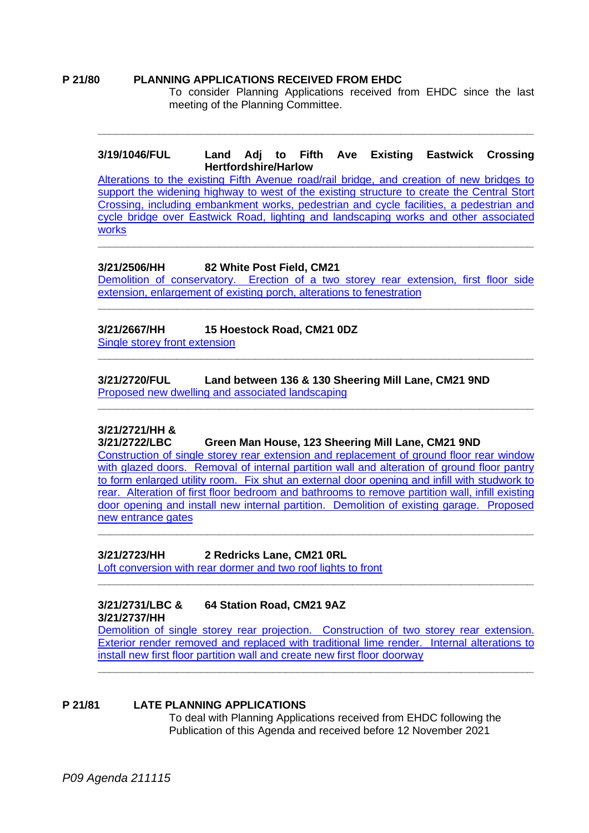#### **P 21/80 PLANNING APPLICATIONS RECEIVED FROM EHDC**

To consider Planning Applications received from EHDC since the last meeting of the Planning Committee.

#### **3/19/1046/FUL Land Adj to Fifth Ave Existing Eastwick Crossing Hertfordshire/Harlow**

**\_\_\_\_\_\_\_\_\_\_\_\_\_\_\_\_\_\_\_\_\_\_\_\_\_\_\_\_\_\_\_\_\_\_\_\_\_\_\_\_\_\_\_\_\_\_\_\_\_\_\_\_\_\_\_\_\_\_\_\_\_\_\_\_\_\_\_\_\_\_\_\_**

[Alterations to the existing Fifth Avenue road/rail bridge, and creation of new bridges to](https://publicaccess.eastherts.gov.uk/online-applications/applicationDetails.do?activeTab=documents&keyVal=PRSSZAGL00V00)  support the widening highway to west of the existing structure to create the Central Stort [Crossing, including embankment works, pedestrian and cycle facilities, a pedestrian and](https://publicaccess.eastherts.gov.uk/online-applications/applicationDetails.do?activeTab=documents&keyVal=PRSSZAGL00V00)  [cycle bridge over Eastwick Road, lighting and landscaping works and other associated](https://publicaccess.eastherts.gov.uk/online-applications/applicationDetails.do?activeTab=documents&keyVal=PRSSZAGL00V00)  [works](https://publicaccess.eastherts.gov.uk/online-applications/applicationDetails.do?activeTab=documents&keyVal=PRSSZAGL00V00)

**\_\_\_\_\_\_\_\_\_\_\_\_\_\_\_\_\_\_\_\_\_\_\_\_\_\_\_\_\_\_\_\_\_\_\_\_\_\_\_\_\_\_\_\_\_\_\_\_\_\_\_\_\_\_\_\_\_\_\_\_\_\_\_\_\_\_\_\_\_\_\_\_**

# **3/21/2506/HH 82 White Post Field, CM21**

Demolition of conservatory. Erection of [a two storey rear extension, first floor side](https://publicaccess.eastherts.gov.uk/online-applications/applicationDetails.do?keyVal=R0B0ERGLHBL00&activeTab=summary)  [extension, enlargement of existing porch, alterations to fenestration](https://publicaccess.eastherts.gov.uk/online-applications/applicationDetails.do?keyVal=R0B0ERGLHBL00&activeTab=summary) **\_\_\_\_\_\_\_\_\_\_\_\_\_\_\_\_\_\_\_\_\_\_\_\_\_\_\_\_\_\_\_\_\_\_\_\_\_\_\_\_\_\_\_\_\_\_\_\_\_\_\_\_\_\_\_\_\_\_\_\_\_\_\_\_\_\_\_\_\_\_\_\_**

**\_\_\_\_\_\_\_\_\_\_\_\_\_\_\_\_\_\_\_\_\_\_\_\_\_\_\_\_\_\_\_\_\_\_\_\_\_\_\_\_\_\_\_\_\_\_\_\_\_\_\_\_\_\_\_\_\_\_\_\_\_\_\_\_\_\_\_\_\_\_\_\_**

**\_\_\_\_\_\_\_\_\_\_\_\_\_\_\_\_\_\_\_\_\_\_\_\_\_\_\_\_\_\_\_\_\_\_\_\_\_\_\_\_\_\_\_\_\_\_\_\_\_\_\_\_\_\_\_\_\_\_\_\_\_\_\_\_\_\_\_\_\_\_\_\_**

# **3/21/2667/HH 15 Hoestock Road, CM21 0DZ**

[Single storey front extension](https://publicaccess.eastherts.gov.uk/online-applications/applicationDetails.do?keyVal=R1F4UQGLHNT00&activeTab=summary)

**3/21/2720/FUL Land between 136 & 130 Sheering Mill Lane, CM21 9ND** [Proposed new dwelling and associated landscaping](https://publicaccess.eastherts.gov.uk/online-applications/applicationDetails.do?activeTab=documents&keyVal=R1Q8WBGLHRF00)

# **3/21/2721/HH &**

**3/21/2722/LBC Green Man House, 123 Sheering Mill Lane, CM21 9ND** [Construction of single storey rear extension and replacement of ground floor rear window](https://publicaccess.eastherts.gov.uk/online-applications/applicationDetails.do?activeTab=documents&keyVal=R1Q8XSGLHRI00)  with glazed doors. Removal of internal partition wall and alteration of ground floor pantry [to form enlarged utility room. Fix shut an external door opening and infill with studwork to](https://publicaccess.eastherts.gov.uk/online-applications/applicationDetails.do?activeTab=documents&keyVal=R1Q8XSGLHRI00)  [rear. Alteration of first floor bedroom and bathrooms to remove partition wall, infill existing](https://publicaccess.eastherts.gov.uk/online-applications/applicationDetails.do?activeTab=documents&keyVal=R1Q8XSGLHRI00)  [door opening and install new internal partition. Demolition of existing garage. Proposed](https://publicaccess.eastherts.gov.uk/online-applications/applicationDetails.do?activeTab=documents&keyVal=R1Q8XSGLHRI00)  new [entrance gates](https://publicaccess.eastherts.gov.uk/online-applications/applicationDetails.do?activeTab=documents&keyVal=R1Q8XSGLHRI00) **\_\_\_\_\_\_\_\_\_\_\_\_\_\_\_\_\_\_\_\_\_\_\_\_\_\_\_\_\_\_\_\_\_\_\_\_\_\_\_\_\_\_\_\_\_\_\_\_\_\_\_\_\_\_\_\_\_\_\_\_\_\_\_\_\_\_\_\_\_\_\_\_**

# **3/21/2723/HH 2 Redricks Lane, CM21 0RL**

Loft conversion with rear [dormer and two roof lights to front](https://publicaccess.eastherts.gov.uk/online-applications/applicationDetails.do?activeTab=documents&keyVal=R1Q8Y3GLHRM00)

# **3/21/2731/LBC & 64 Station Road, CM21 9AZ 3/21/2737/HH**

[Demolition of single storey rear projection. Construction of two storey rear extension.](https://publicaccess.eastherts.gov.uk/online-applications/applicationDetails.do?activeTab=documents&keyVal=R1VVL9GLHSX00)  Exterior render removed and [replaced with traditional lime render. Internal alterations to](https://publicaccess.eastherts.gov.uk/online-applications/applicationDetails.do?activeTab=documents&keyVal=R1VVL9GLHSX00)  [install new first floor partition wall and create new first floor doorway](https://publicaccess.eastherts.gov.uk/online-applications/applicationDetails.do?activeTab=documents&keyVal=R1VVL9GLHSX00)

**\_\_\_\_\_\_\_\_\_\_\_\_\_\_\_\_\_\_\_\_\_\_\_\_\_\_\_\_\_\_\_\_\_\_\_\_\_\_\_\_\_\_\_\_\_\_\_\_\_\_\_\_\_\_\_\_\_\_\_\_\_\_\_\_\_\_\_\_\_\_\_\_**

**\_\_\_\_\_\_\_\_\_\_\_\_\_\_\_\_\_\_\_\_\_\_\_\_\_\_\_\_\_\_\_\_\_\_\_\_\_\_\_\_\_\_\_\_\_\_\_\_\_\_\_\_\_\_\_\_\_\_\_\_\_\_\_\_\_\_\_\_\_\_\_\_**

# **P 21/81 LATE PLANNING APPLICATIONS**

To deal with Planning Applications received from EHDC following the Publication of this Agenda and received before 12 November 2021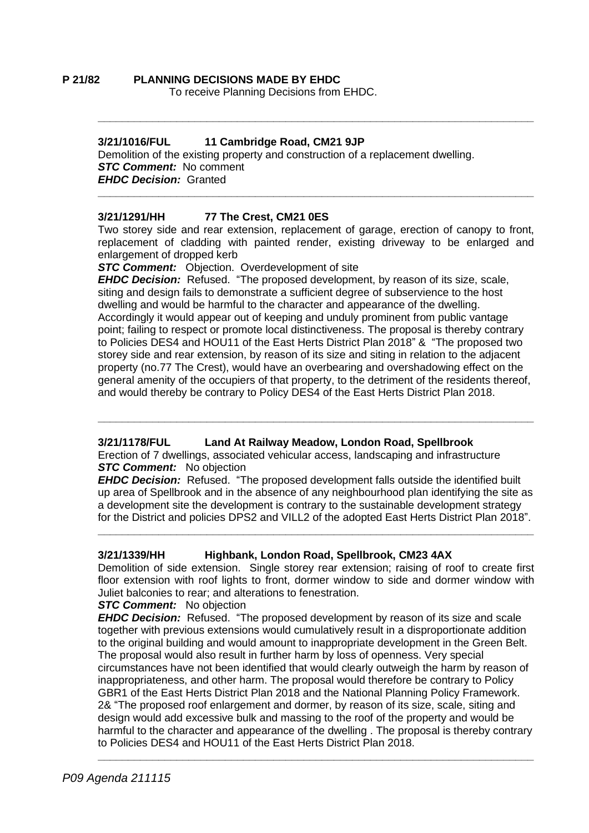#### **P 21/82 PLANNING DECISIONS MADE BY EHDC** To receive Planning Decisions from EHDC.

# **3/21/1016/FUL 11 Cambridge Road, CM21 9JP**

Demolition of the existing property and construction of a replacement dwelling. *STC Comment:* No comment *EHDC Decision:* Granted **\_\_\_\_\_\_\_\_\_\_\_\_\_\_\_\_\_\_\_\_\_\_\_\_\_\_\_\_\_\_\_\_\_\_\_\_\_\_\_\_\_\_\_\_\_\_\_\_\_\_\_\_\_\_\_\_\_\_\_\_\_\_\_\_\_\_\_\_\_\_\_\_**

# **3/21/1291/HH 77 The Crest, CM21 0ES**

Two storey side and rear extension, replacement of garage, erection of canopy to front, replacement of cladding with painted render, existing driveway to be enlarged and enlargement of dropped kerb

**\_\_\_\_\_\_\_\_\_\_\_\_\_\_\_\_\_\_\_\_\_\_\_\_\_\_\_\_\_\_\_\_\_\_\_\_\_\_\_\_\_\_\_\_\_\_\_\_\_\_\_\_\_\_\_\_\_\_\_\_\_\_\_\_\_\_\_\_\_\_\_\_**

**STC Comment:** Objection. Overdevelopment of site

*EHDC Decision:* Refused. "The proposed development, by reason of its size, scale, siting and design fails to demonstrate a sufficient degree of subservience to the host dwelling and would be harmful to the character and appearance of the dwelling. Accordingly it would appear out of keeping and unduly prominent from public vantage point; failing to respect or promote local distinctiveness. The proposal is thereby contrary to Policies DES4 and HOU11 of the East Herts District Plan 2018" & "The proposed two storey side and rear extension, by reason of its size and siting in relation to the adjacent property (no.77 The Crest), would have an overbearing and overshadowing effect on the general amenity of the occupiers of that property, to the detriment of the residents thereof, and would thereby be contrary to Policy DES4 of the East Herts District Plan 2018.

# **3/21/1178/FUL Land At Railway Meadow, London Road, Spellbrook**

Erection of 7 dwellings, associated vehicular access, landscaping and infrastructure *STC Comment:* No objection

*EHDC Decision:* Refused. "The proposed development falls outside the identified built up area of Spellbrook and in the absence of any neighbourhood plan identifying the site as a development site the development is contrary to the sustainable development strategy for the District and policies DPS2 and VILL2 of the adopted East Herts District Plan 2018".

**\_\_\_\_\_\_\_\_\_\_\_\_\_\_\_\_\_\_\_\_\_\_\_\_\_\_\_\_\_\_\_\_\_\_\_\_\_\_\_\_\_\_\_\_\_\_\_\_\_\_\_\_\_\_\_\_\_\_\_\_\_\_\_\_\_\_\_\_\_\_\_\_**

**\_\_\_\_\_\_\_\_\_\_\_\_\_\_\_\_\_\_\_\_\_\_\_\_\_\_\_\_\_\_\_\_\_\_\_\_\_\_\_\_\_\_\_\_\_\_\_\_\_\_\_\_\_\_\_\_\_\_\_\_\_\_\_\_\_\_\_\_\_\_\_\_**

# **3/21/1339/HH Highbank, London Road, Spellbrook, CM23 4AX**

Demolition of side extension. Single storey rear extension; raising of roof to create first floor extension with roof lights to front, dormer window to side and dormer window with Juliet balconies to rear; and alterations to fenestration.

#### *STC Comment:* No objection

*EHDC Decision:* Refused. "The proposed development by reason of its size and scale together with previous extensions would cumulatively result in a disproportionate addition to the original building and would amount to inappropriate development in the Green Belt. The proposal would also result in further harm by loss of openness. Very special circumstances have not been identified that would clearly outweigh the harm by reason of inappropriateness, and other harm. The proposal would therefore be contrary to Policy GBR1 of the East Herts District Plan 2018 and the National Planning Policy Framework. 2& "The proposed roof enlargement and dormer, by reason of its size, scale, siting and design would add excessive bulk and massing to the roof of the property and would be harmful to the character and appearance of the dwelling . The proposal is thereby contrary to Policies DES4 and HOU11 of the East Herts District Plan 2018.

**\_\_\_\_\_\_\_\_\_\_\_\_\_\_\_\_\_\_\_\_\_\_\_\_\_\_\_\_\_\_\_\_\_\_\_\_\_\_\_\_\_\_\_\_\_\_\_\_\_\_\_\_\_\_\_\_\_\_\_\_\_\_\_\_\_\_\_\_\_\_\_\_**